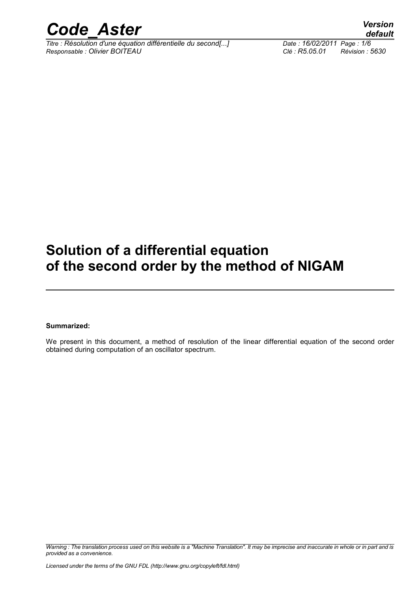

*Titre : Résolution d'une équation différentielle du second[...] Date : 16/02/2011 Page : 1/6 Responsable : Olivier BOITEAU Clé : R5.05.01 Révision : 5630*

## **Solution of a differential equation of the second order by the method of NIGAM**

#### **Summarized:**

We present in this document, a method of resolution of the linear differential equation of the second order obtained during computation of an oscillator spectrum.

*Warning : The translation process used on this website is a "Machine Translation". It may be imprecise and inaccurate in whole or in part and is provided as a convenience.*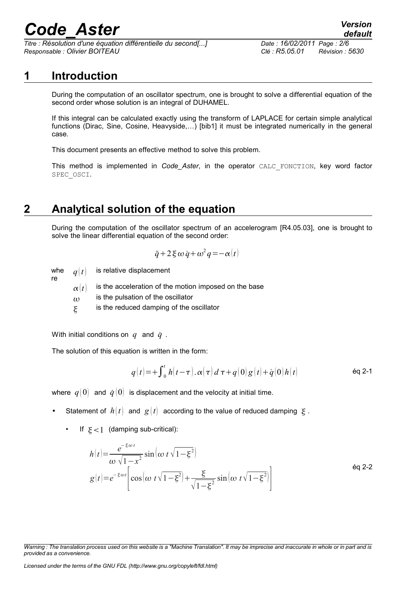*Titre : Résolution d'une équation différentielle du second[...] Date : 16/02/2011 Page : 2/6 Responsable : Olivier BOITEAU Clé : R5.05.01 Révision : 5630*

### **1 Introduction**

During the computation of an oscillator spectrum, one is brought to solve a differential equation of the second order whose solution is an integral of DUHAMEL.

If this integral can be calculated exactly using the transform of LAPLACE for certain simple analytical functions (Dirac, Sine, Cosine, Heavyside,…) [bib1] it must be integrated numerically in the general case.

This document presents an effective method to solve this problem.

This method is implemented in *Code\_Aster*, in the operator CALC\_FONCTION, key word factor SPEC\_OSCI.

## **2 Analytical solution of the equation**

During the computation of the oscillator spectrum of an accelerogram [R4.05.03], one is brought to solve the linear differential equation of the second order:

$$
\ddot{q} + 2 \xi \omega \dot{q} + \omega^2 q = -\alpha(t)
$$

whe  $q \, t$ is relative displacement

re

- $\alpha$  | t is the acceleration of the motion imposed on the base  $\omega$  is the pulsation of the oscillator
- is the reduced damping of the oscillator

With initial conditions on  $q$  and  $\dot{q}$  .

The solution of this equation is written in the form:

$$
q(t) = + \int_0^t h(t-\tau) \cdot \alpha(\tau) d\tau + q(0) g(t) + \dot{q}(0) h(t)
$$

where  $q(0)$  and  $\dot{q}(0)$  is displacement and the velocity at initial time.

- Statement of  $h(t)$  and  $g(t)$  according to the value of reduced damping  $\zeta$ .
	- If  $\xi < 1$  (damping sub-critical):

$$
h(t) = \frac{e^{-\xi \omega t}}{\omega \sqrt{1 - x^2}} \sin \left( \omega t \sqrt{1 - \xi^2} \right)
$$
  
 
$$
g(t) = e^{-\xi \omega t} \left[ \cos \left( \omega t \sqrt{1 - \xi^2} \right) + \frac{\xi}{\sqrt{1 - \xi^2}} \sin \left( \omega t \sqrt{1 - \xi^2} \right) \right]
$$

*Licensed under the terms of the GNU FDL (http://www.gnu.org/copyleft/fdl.html)*

*Warning : The translation process used on this website is a "Machine Translation". It may be imprecise and inaccurate in whole or in part and is provided as a convenience.*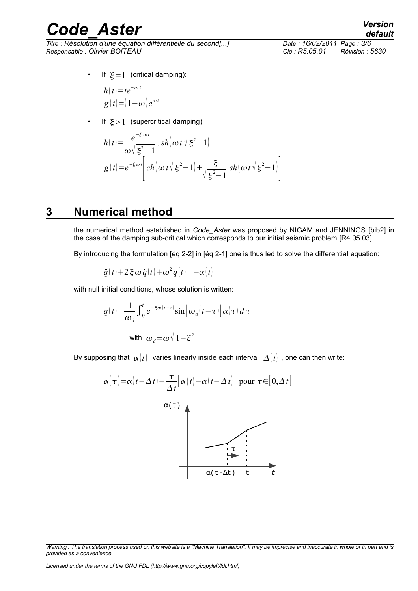*Titre : Résolution d'une équation différentielle du second[...] Date : 16/02/2011 Page : 3/6 Responsable : Olivier BOITEAU Clé : R5.05.01 Révision : 5630*

*default*

• If  $\xi = 1$  (critical damping):

$$
h(t)=te^{-\omega t}
$$
  
g(t)=(1-\omega)e^{\omega t}

• If  $\xi > 1$  (supercritical damping):

$$
h(t) = \frac{e^{-\xi \omega t}}{\omega \sqrt{\xi^2 - 1}} \cdot sh\left(\omega t \sqrt{\xi^2 - 1}\right)
$$
  

$$
g(t) = e^{-\xi \omega t} \left[ ch\left(\omega t \sqrt{\xi^2 - 1}\right) + \frac{\xi}{\sqrt{\xi^2 - 1}} sh\left(\omega t \sqrt{\xi^2 - 1}\right) \right]
$$

#### **3 Numerical method**

the numerical method established in *Code\_Aster* was proposed by NIGAM and JENNINGS [bib2] in the case of the damping sub-critical which corresponds to our initial seismic problem [R4.05.03].

By introducing the formulation [éq 2-2] in [éq 2-1] one is thus led to solve the differential equation:

$$
\ddot{q}(t) + 2 \xi \omega \dot{q}(t) + \omega^2 q(t) = -\alpha(t)
$$

with null initial conditions, whose solution is written:

$$
q(t) = \frac{1}{\omega_d} \int_0^t e^{-\xi \omega(t-\tau)} \sin \left[\omega_d(t-\tau)\right] \alpha(\tau) d\tau
$$
  
with  $\omega_d = \omega \sqrt{1-\xi^2}$ 

By supposing that  $\alpha(t)$  varies linearly inside each interval  $\Delta(t)$ , one can then write:

$$
\alpha(\tau) = \alpha(t - \Delta t) + \frac{\tau}{\Delta t} [\alpha(t) - \alpha(t - \Delta t)] \text{ pour } \tau \in [0, \Delta t]
$$
  

$$
\alpha(\tau)
$$
  

$$
\alpha(\tau - \Delta t)
$$

*Warning : The translation process used on this website is a "Machine Translation". It may be imprecise and inaccurate in whole or in part and is provided as a convenience.*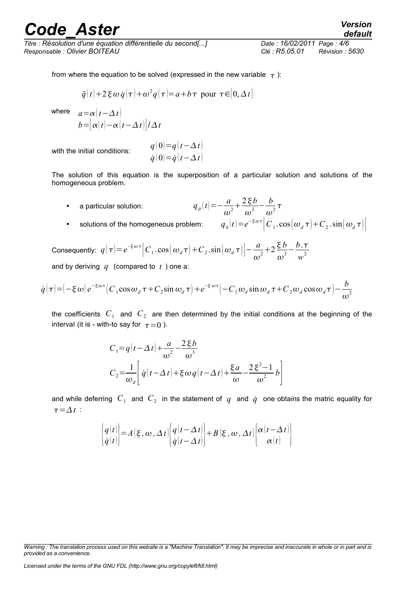*Titre : Résolution d'une équation différentielle du second[...] Date : 16/02/2011 Page : 4/6 Responsable : Olivier BOITEAU Clé : R5.05.01 Révision : 5630*

*default*

 $\omega^2$ 

$$
\ddot{q}(t)+2\xi\omega\dot{q}(\tau)+\omega^2q(\tau)=a+b\tau
$$
 pour  $\tau \in [0,\Delta t]$ 

where  $a = \alpha \left[ t - \Lambda t \right]$ 

$$
b = [\alpha(t) - \alpha(t - \Delta t)]/\Delta t
$$

with the initial conditions:

$$
q(0)=q(t-\Delta t) \dot{q}(0)=\dot{q}(t-\Delta t)
$$

The solution of this equation is the superposition of a particular solution and solutions of the homogeneous problem.

 $a$  particular solution: *a*  $\frac{a}{\omega^2} + \frac{2\xi b}{\omega^3}$  $rac{2\xi b}{\omega^3} - \frac{b}{\omega}$  $\frac{\nu}{\omega^2}\tau$  $\left| t \right| = e^{-\xi \omega \tau} \left| C_1 \cdot \cos \left( \omega_d \tau \right) + C_2 \cdot \sin \left( \omega_d \tau \right) \right|$ 

\n- solutions of the homogeneous problem:
\n- $$
q_h
$$
\n

Consequently:  $q(\tau) = e^{-\xi \omega \tau} \left[ C_1 \cdot \cos(\omega_d \tau) + C_2 \cdot \sin(\omega_d \tau) \right] - \frac{a}{\tau}$  $\frac{a}{\omega^2}+2\frac{\xi b}{\omega^3}$  $rac{\xi b}{\omega^3} - \frac{b \cdot \tau}{w^2}$  $w^2$ and by deriving *q* (compared to *t* ) one a:

$$
\dot{q}(\tau) = \left(-\xi \omega\right) e^{-\xi \omega \tau} \left(C_1 \cos \omega_d \tau + C_2 \sin \omega_d \tau\right) + e^{-\xi \omega \tau} \left(-C_1 \omega_d \sin \omega_d \tau + C_2 \omega_d \cos \omega_d \tau\right) - \frac{b}{\omega \omega \tau}
$$

the coefficients  $C_1$  and  $C_2$  are then determined by the initial conditions at the beginning of the interval (it is - with-to say for  $\tau = 0$ ).

$$
C_1 = q(t - \Delta t) + \frac{a}{\omega^2} - \frac{2\xi b}{\omega^3}
$$
  
\n
$$
C_2 = \frac{1}{\omega_d} \left[ \dot{q}(t - \Delta t) + \xi \omega q(t - \Delta t) + \frac{\xi a}{\omega} - \frac{2\xi^2 - 1}{\omega^2} b \right]
$$

and while deferring  $|C_{1}|$  and  $|C_{2}|$  in the statement of  $|q|$  and  $|{\dot q}|$  one obtains the matric equality for  $\tau = \Delta t$ :

$$
\begin{cases}\nq(t) \\
\dot{q}(t)\n\end{cases} = A(\xi, \omega, \Delta t) \begin{cases}\nq(t - \Delta t) \\
\dot{q}(t - \Delta t)\n\end{cases} + B(\xi, \omega, \Delta t) \begin{cases}\n\alpha(t - \Delta t) \\
\alpha(t)\n\end{cases}
$$

*Warning : The translation process used on this website is a "Machine Translation". It may be imprecise and inaccurate in whole or in part and is provided as a convenience.*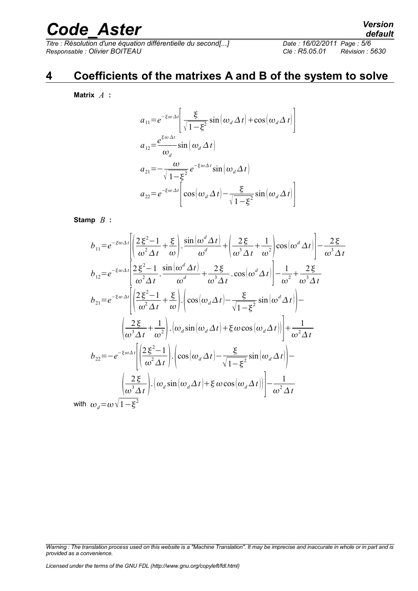*Titre : Résolution d'une équation différentielle du second[...] Date : 16/02/2011 Page : 5/6 Responsable : Olivier BOITEAU Clé : R5.05.01 Révision : 5630*

## **4 Coefficients of the matrixes A and B of the system to solve**

l,

**Matrix** *A* **:**

$$
a_{11} = e^{-\xi \omega \Delta t} \left[ \frac{\xi}{\sqrt{1 - \xi^2}} \sin \left( \omega_d \Delta t \right) + \cos \left( \omega_d \Delta t \right) \right]
$$
  
\n
$$
a_{12} = \frac{e^{\xi \omega \Delta t}}{\omega_d} \sin \left( \omega_d \Delta t \right)
$$
  
\n
$$
a_{21} = -\frac{\omega}{\sqrt{1 - \xi^2}} e^{-\xi \omega \Delta t} \sin \left( \omega_d \Delta t \right)
$$
  
\n
$$
a_{22} = e^{-\xi \omega \Delta t} \left[ \cos \left( \omega_d \Delta t \right) - \frac{\xi}{\sqrt{1 - \xi^2}} \sin \left( \omega_d \Delta t \right) \right]
$$

#### **Stamp** *B* **:**

$$
b_{11} = e^{-\xi \omega \Delta t} \left[ \left( \frac{2 \xi^2 - 1}{\omega^2 \Delta t} + \frac{\xi}{\omega} \right) \cdot \frac{\sin \left( \omega^d \Delta t \right)}{\omega^d} + \left( \frac{2 \xi}{\omega^3 \Delta t} + \frac{1}{\omega^2} \right) \cos \left( \omega^d \Delta t \right) \right] - \frac{2 \xi}{\omega^3 \Delta t}
$$
  
\n
$$
b_{12} = e^{-\xi \omega \Delta t} \left[ \frac{2 \xi^2 - 1}{\omega^2 \Delta t} \cdot \frac{\sin \left( \omega^d \Delta t \right)}{\omega^d} + \frac{2 \xi}{\omega^3 \Delta t} \cdot \cos \left( \omega^d \Delta t \right) \right] - \frac{1}{\omega^2} + \frac{2 \xi}{\omega^3 \Delta t}
$$
  
\n
$$
b_{21} = e^{-\xi \omega \Delta t} \left[ \left( \frac{2 \xi^2 - 1}{\omega^2 \Delta t} + \frac{\xi}{\omega} \right) \cdot \left( \cos \left( \omega_d \Delta t \right) - \frac{\xi}{\sqrt{1 - \xi^2}} \sin \left( \omega^d \Delta t \right) \right) \right] - \frac{\left( \frac{2 \xi}{\omega^3 \Delta t} + \frac{1}{\omega^2} \right) \cdot \left( \omega_d \sin \left( \omega_d \Delta t \right) + \xi \omega \cos \left( \omega_d \Delta t \right) \right) \right] + \frac{1}{\omega^2 \Delta t}
$$
  
\n
$$
b_{22} = -e^{-\xi \omega \Delta t} \left[ \left( \frac{2 \xi^2 - 1}{\omega^2 \Delta t} \right) \cdot \left( \cos \left( \omega_d \Delta t \right) - \frac{\xi}{\sqrt{1 - \xi^2}} \sin \left( \omega_d \Delta t \right) \right) \right] - \frac{\left( \frac{2 \xi}{\omega^3 \Delta t} \right) \cdot \left( \omega_d \sin \left( \omega_d \Delta t \right) + \xi \omega \cos \left( \omega_d \Delta t \right) \right) \right] - \frac{1}{\omega^2 \Delta t}
$$
  
\nwith  $\omega_d = \omega \sqrt{1 - \xi^2}$ 

*Warning : The translation process used on this website is a "Machine Translation". It may be imprecise and inaccurate in whole or in part and is provided as a convenience.*